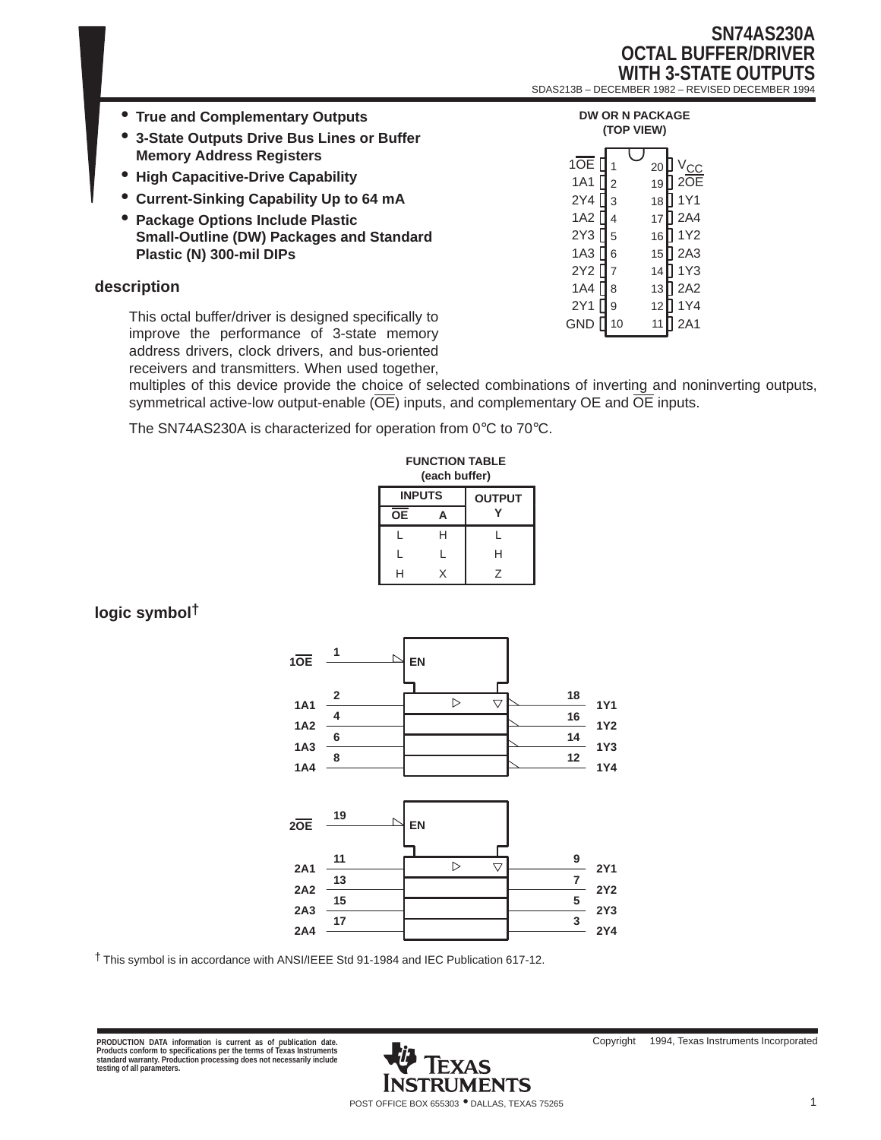### **SN74AS230A OCTAL BUFFER/DRIVER WITH 3-STATE OUTPUTS** SDAS213B – DECEMBER 1982 – REVISED DECEMBER 1994

| • True and Complementary Outputs<br>• 3-State Outputs Drive Bus Lines or Buffer                   | <b>DW OR N PACKAGE</b><br>(TOP VIEW)                 |
|---------------------------------------------------------------------------------------------------|------------------------------------------------------|
| <b>Memory Address Registers</b>                                                                   | 1OE                                                  |
| • High Capacitive-Drive Capability                                                                | 20<br>2OF<br>1A1<br>$\mathsf{L}$<br>19               |
| • Current-Sinking Capability Up to 64 mA                                                          | $2Y4$ $13$<br>1Y1<br>18                              |
| • Package Options Include Plastic                                                                 | 1A2 l<br>12A4<br>17                                  |
| <b>Small-Outline (DW) Packages and Standard</b>                                                   | 2Y3<br>II 1Y2<br>l 5<br>16                           |
| Plastic (N) 300-mil DIPs                                                                          | II 2A3<br>1A3 I<br>II 6<br>15 <sup>1</sup>           |
|                                                                                                   | 2Y <sub>2</sub><br>l 1Y3<br>14                       |
| description                                                                                       | $\P$ 2A2<br>1A4 l<br>13 <sub>l</sub><br>l 8          |
| This octal buffer/driver is designed specifically to<br>improve the nextermanes of 2 state memory | 2Y1<br>l 1Y4<br>12<br><b>1</b> 9<br>GND<br>2A1<br>11 |

improve the performance of 3-state memory address drivers, clock drivers, and bus-oriented receivers and transmitters. When used together,

multiples of this device provide the choice of selected combinations of inverting and noninverting outputs, symmetrical active-low output-enable  $(\overline{OE})$  inputs, and complementary OE and  $\overline{OE}$  inputs.

The SN74AS230A is characterized for operation from 0°C to 70°C.

| <b>FUNCTION TABLE</b><br>(each buffer) |   |               |  |  |
|----------------------------------------|---|---------------|--|--|
| <b>INPUTS</b>                          |   | <b>OUTPUT</b> |  |  |
| <b>OE</b>                              | А |               |  |  |
| L                                      | н | L             |  |  |
| L                                      | L | н             |  |  |
| н                                      | x | 7             |  |  |

### **logic symbol†**



† This symbol is in accordance with ANSI/IEEE Std 91-1984 and IEC Publication 617-12.

PRODUCTION DATA information is current as of publication date.<br>Products conform to specifications per the terms of Texas Instruments<br>standard warranty. Production processing does not necessarily include<br>testing of all para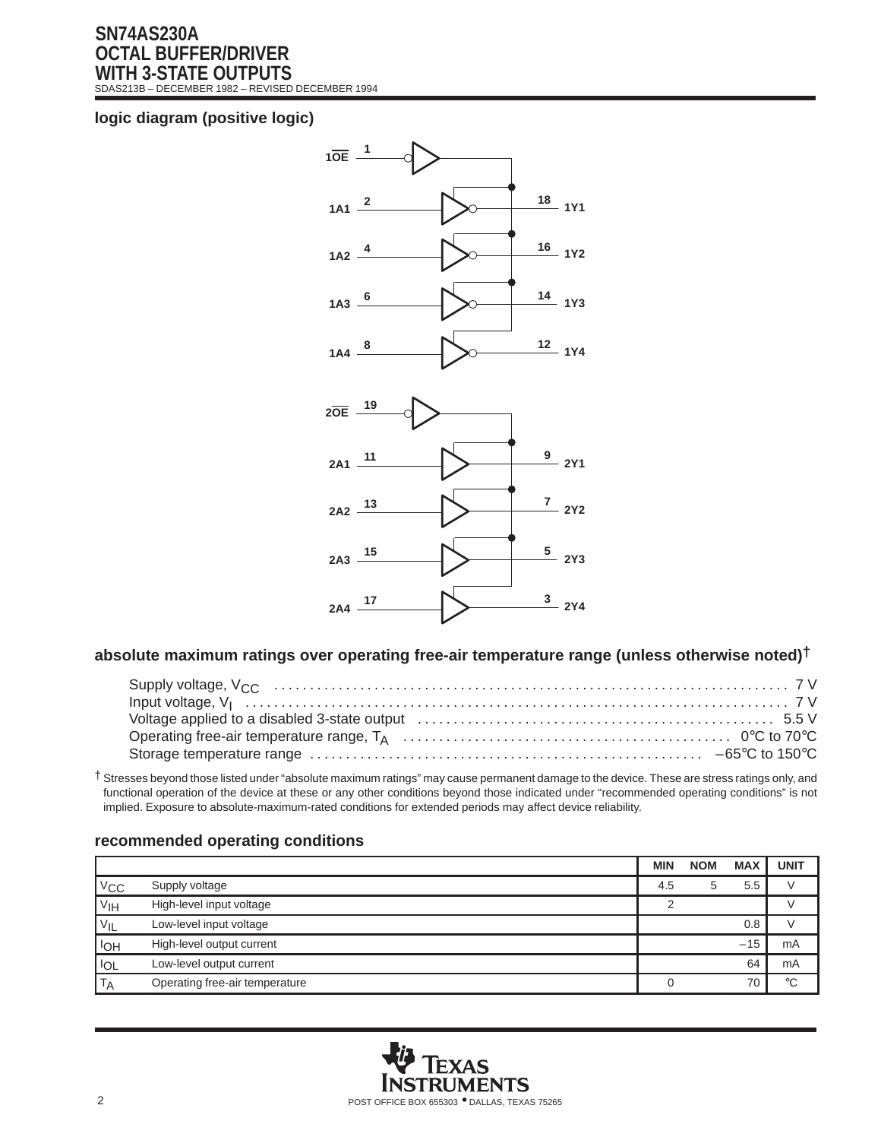### **SN74AS230A OCTAL BUFFER/DRIVER WITH 3-STATE OUTPUTS** SDAS213B – DECEMBER 1982 – REVISED DECEMBER 1994

### **logic diagram (positive logic)**



### **absolute maximum ratings over operating free-air temperature range (unless otherwise noted)†**

† Stresses beyond those listed under "absolute maximum ratings" may cause permanent damage to the device. These are stress ratings only, and functional operation of the device at these or any other conditions beyond those indicated under "recommended operating conditions" is not implied. Exposure to absolute-maximum-rated conditions for extended periods may affect device reliability.

# **MIN NOM MAX UNIT**  $V_{\text{CC}}$  Supply voltage  $4.5$  5  $5.5$  V V<sub>IH</sub> High-level input voltage **2** V V<sub>IL</sub> Low-level input voltage **0.8** V I<sub>OH</sub> High-level output current  $-15$  mA I<sub>OL</sub> Low-level output current 64 mA  $T_A$  Operating free-air temperature  $\begin{bmatrix} 0 & 70 \\ 0 & 70 \end{bmatrix}$  °C



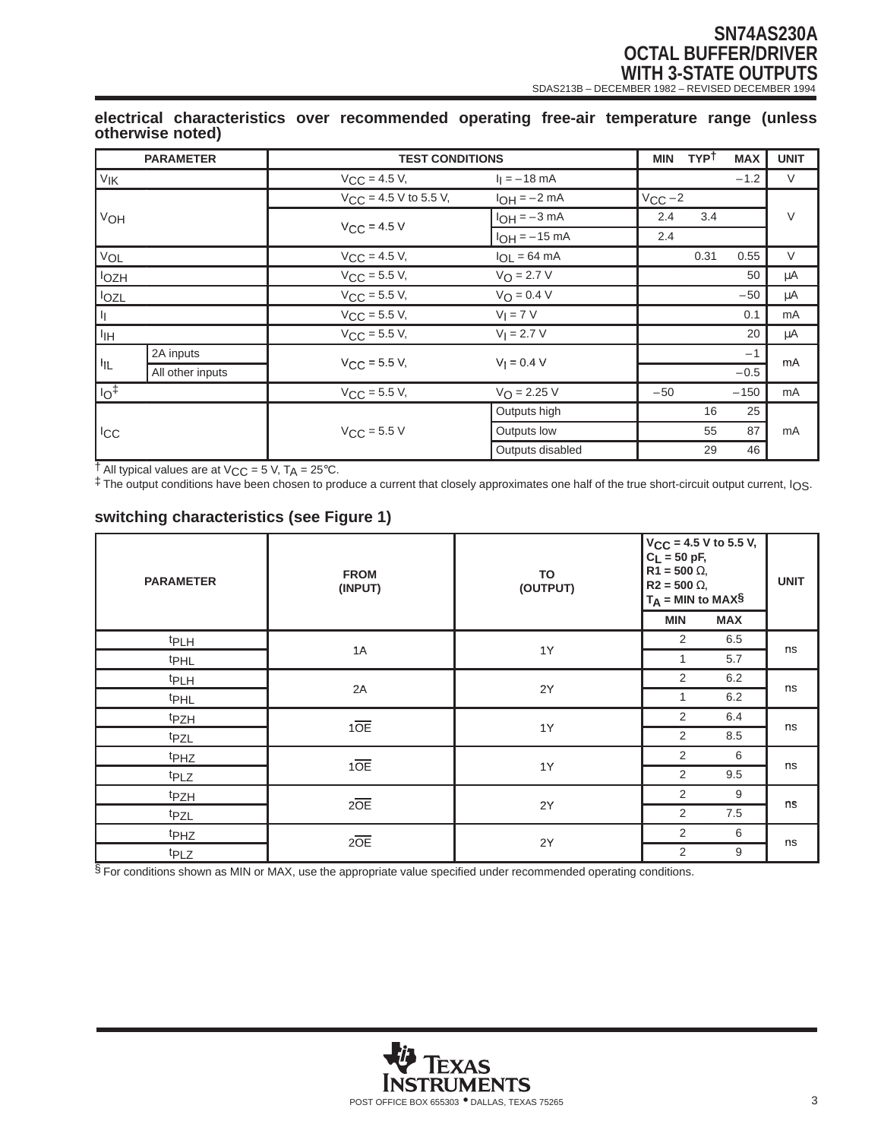# **SN74AS230A OCTAL BUFFER/DRIVER WITH 3-STATE OUTPUTS**<br>
SDAS213B – DECEMBER 1982 – REVISED DECEMBER 1994

### **electrical characteristics over recommended operating free-air temperature range (unless otherwise noted)**

|                   | <b>PARAMETER</b> | <b>TEST CONDITIONS</b>     |                          | <b>MIN</b>  | <b>TYPT</b> | <b>MAX</b> | <b>UNIT</b> |
|-------------------|------------------|----------------------------|--------------------------|-------------|-------------|------------|-------------|
| VIK               |                  | $V_{CC}$ = 4.5 V,          | $I_1 = -18$ mA           |             |             | $-1.2$     | V           |
|                   |                  | $V_{CC}$ = 4.5 V to 5.5 V, | $I_{OH} = -2 mA$         | $V_{CC}$ -2 |             |            | $\vee$      |
| VOH               | $V_{CC}$ = 4.5 V | $I_{OH} = -3 mA$           | 2.4                      | 3.4         |             |            |             |
|                   |                  | $I_{OH} = -15$ mA          | 2.4                      |             |             |            |             |
| VOL               |                  | $V_{CC} = 4.5 V,$          | $I_{OL} = 64 \text{ mA}$ |             | 0.31        | 0.55       | $\vee$      |
| lozh              |                  | $V_{CC} = 5.5 V,$          | $V_O = 2.7 V$            |             |             | 50         | μA          |
| lozL              |                  | $V_{CC} = 5.5 V,$          | $V_O = 0.4 V$            |             |             | $-50$      | μA          |
| H.                |                  | $V_{\text{CC}} = 5.5 V,$   | $V_I = 7 V$              |             |             | 0.1        | mA          |
| I <sub>IH</sub>   |                  | $V_{CC}$ = 5.5 V,          | $V_1 = 2.7 V$            |             |             | 20         | μA          |
| 址                 | 2A inputs        |                            | $V_1 = 0.4 V$            |             |             | $-1$       | mA          |
|                   | All other inputs | $V_{\text{CC}} = 5.5 V,$   |                          |             |             | $-0.5$     |             |
| $\overline{10^+}$ |                  | $V_{CC} = 5.5 V,$          | $V_{\Omega} = 2.25 V$    | $-50$       |             | $-150$     | mA          |
| <b>ICC</b>        |                  |                            | Outputs high             |             | 16          | 25         |             |
|                   | $V_{CC}$ = 5.5 V | Outputs low                |                          | 55          | 87          | mA         |             |
|                   |                  | Outputs disabled           |                          | 29          | 46          |            |             |

 $\dagger$  All typical values are at  $V_{CC}$  = 5 V, T<sub>A</sub> = 25°C.

‡ The output conditions have been chosen to produce a current that closely approximates one half of the true short-circuit output current, IOS.

# **switching characteristics (see Figure 1)**

| <b>PARAMETER</b> | <b>FROM</b><br>(INPUT) | TO<br>(OUTPUT) | $C_L = 50$ pF,<br>$R\overline{1}$ = 500 $\Omega$ ,<br>$R2 = 500 \Omega$<br>$T_A = MIN to MAX$$ | $V_{CC}$ = 4.5 V to 5.5 V, | <b>UNIT</b> |
|------------------|------------------------|----------------|------------------------------------------------------------------------------------------------|----------------------------|-------------|
|                  |                        |                | <b>MIN</b>                                                                                     | <b>MAX</b>                 |             |
| <b>tPLH</b>      |                        |                | 2                                                                                              | 6.5                        |             |
| t <sub>PHL</sub> | 1A                     | 1Y             | 1                                                                                              | 5.7                        | ns          |
| t <sub>PLH</sub> | 2A                     |                | 2                                                                                              | 6.2                        |             |
| t <sub>PHL</sub> |                        | 2Y             | 1                                                                                              | 6.2                        | ns          |
| tpzH             |                        |                | 2                                                                                              | 6.4                        | ns          |
| tpzL             | 10E                    | 1Y             | 2                                                                                              | 8.5                        |             |
| t <sub>PHZ</sub> | 10E                    |                | 2                                                                                              | 6                          |             |
| t <sub>PLZ</sub> |                        | 1Y             | 2                                                                                              | 9.5                        | ns          |
| tpzH             |                        | 2Y             | 2                                                                                              | 9                          | ns          |
| tpzL             | $2\overline{OE}$       |                | 2                                                                                              | 7.5                        |             |
| t <sub>PHZ</sub> | $2\overline{OE}$       | 2Y             | 2                                                                                              | 6                          | ns          |
| t <sub>PLZ</sub> |                        |                | 2                                                                                              | 9                          |             |

§ For conditions shown as MIN or MAX, use the appropriate value specified under recommended operating conditions.